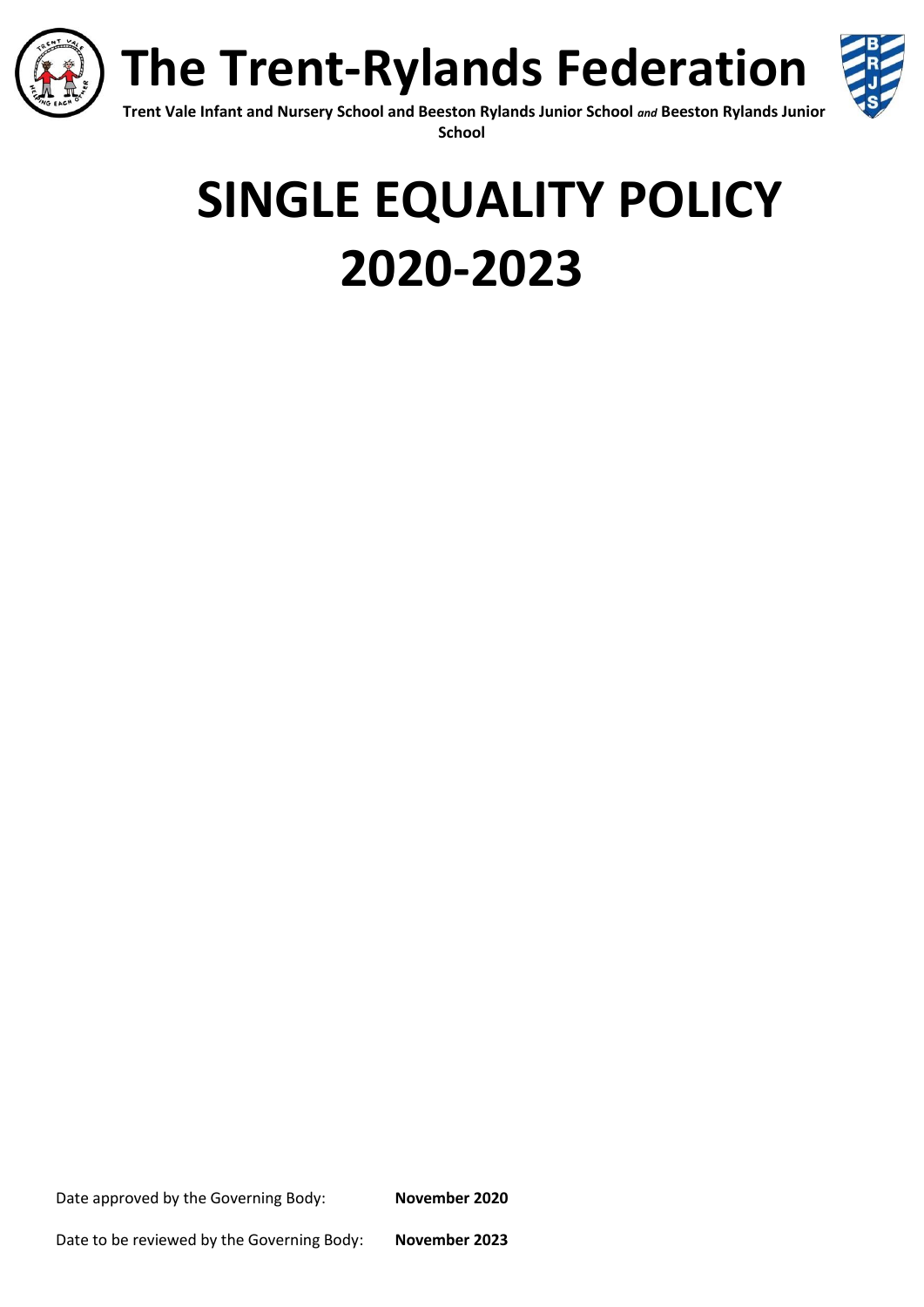



**Trent Vale Infant and Nursery School and Beeston Rylands Junior School** *and* **Beeston Rylands Junior School**

# **SINGLE EQUALITY POLICY 2020-2023**

Date approved by the Governing Body: **November 2020**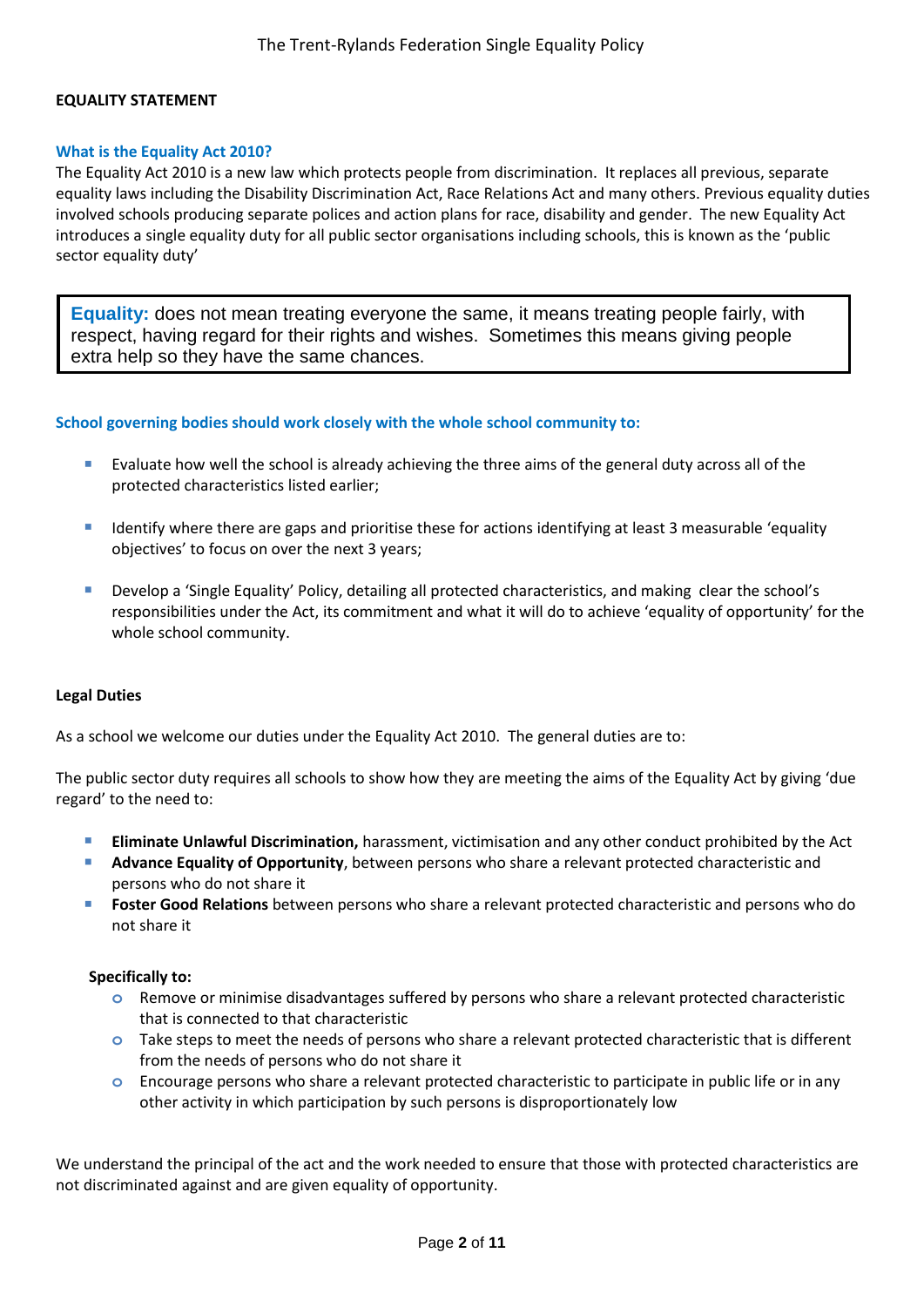#### **EQUALITY STATEMENT**

#### **What is the Equality Act 2010?**

The Equality Act 2010 is a new law which protects people from discrimination. It replaces all previous, separate equality laws including the Disability Discrimination Act, Race Relations Act and many others. Previous equality duties involved schools producing separate polices and action plans for race, disability and gender. The new Equality Act introduces a single equality duty for all public sector organisations including schools, this is known as the 'public sector equality duty'

**Equality:** does not mean treating everyone the same, it means treating people fairly, with respect, having regard for their rights and wishes. Sometimes this means giving people extra help so they have the same chances.

#### **School governing bodies should work closely with the whole school community to:**

- **Evaluate how well the school is already achieving the three aims of the general duty across all of the** protected characteristics listed earlier;
- Identify where there are gaps and prioritise these for actions identifying at least 3 measurable 'equality objectives' to focus on over the next 3 years;
- Develop a 'Single Equality' Policy, detailing all protected characteristics, and making clear the school's responsibilities under the Act, its commitment and what it will do to achieve 'equality of opportunity' for the whole school community.

#### **Legal Duties**

As a school we welcome our duties under the Equality Act 2010. The general duties are to:

The public sector duty requires all schools to show how they are meeting the aims of the Equality Act by giving 'due regard' to the need to:

- **Eliminate Unlawful Discrimination,** harassment, victimisation and any other conduct prohibited by the Act
- **Advance Equality of Opportunity**, between persons who share a relevant protected characteristic and persons who do not share it
- **Foster Good Relations** between persons who share a relevant protected characteristic and persons who do not share it

#### **Specifically to:**

- **o** Remove or minimise disadvantages suffered by persons who share a relevant protected characteristic that is connected to that characteristic
- **o** Take steps to meet the needs of persons who share a relevant protected characteristic that is different from the needs of persons who do not share it
- **o** Encourage persons who share a relevant protected characteristic to participate in public life or in any other activity in which participation by such persons is disproportionately low

We understand the principal of the act and the work needed to ensure that those with protected characteristics are not discriminated against and are given equality of opportunity.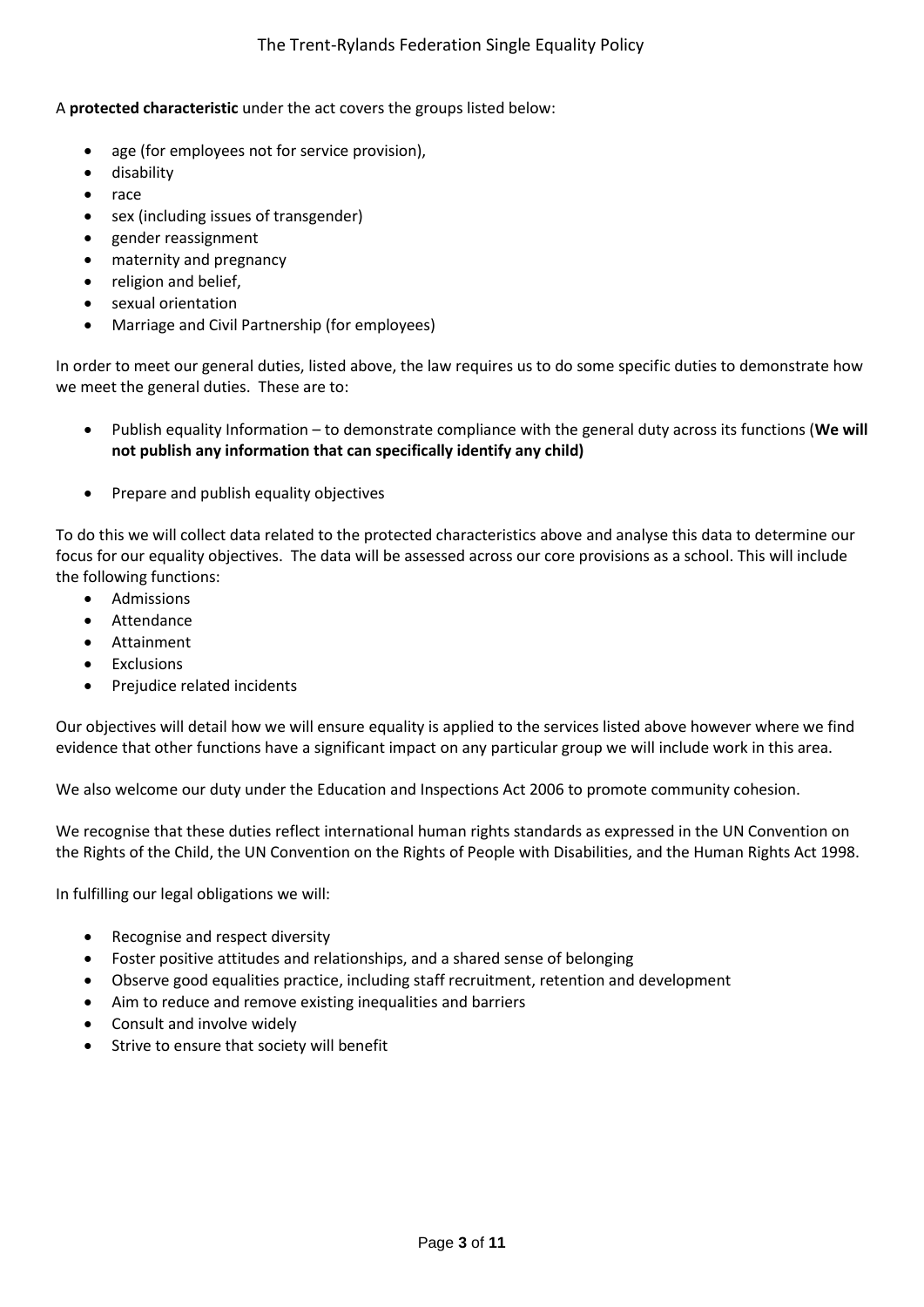# A **protected characteristic** under the act covers the groups listed below:

- age (for employees not for service provision),
- **•** disability
- race
- sex (including issues of transgender)
- gender reassignment
- maternity and pregnancy
- religion and belief,
- sexual orientation
- Marriage and Civil Partnership (for employees)

In order to meet our general duties, listed above, the law requires us to do some specific duties to demonstrate how we meet the general duties. These are to:

- Publish equality Information to demonstrate compliance with the general duty across its functions (**We will not publish any information that can specifically identify any child)**
- Prepare and publish equality objectives

To do this we will collect data related to the protected characteristics above and analyse this data to determine our focus for our equality objectives. The data will be assessed across our core provisions as a school. This will include the following functions:

- Admissions
- Attendance
- Attainment
- Exclusions
- Prejudice related incidents

Our objectives will detail how we will ensure equality is applied to the services listed above however where we find evidence that other functions have a significant impact on any particular group we will include work in this area.

We also welcome our duty under the Education and Inspections Act 2006 to promote community cohesion.

We recognise that these duties reflect international human rights standards as expressed in the UN Convention on the Rights of the Child, the UN Convention on the Rights of People with Disabilities, and the Human Rights Act 1998.

In fulfilling our legal obligations we will:

- Recognise and respect diversity
- Foster positive attitudes and relationships, and a shared sense of belonging
- Observe good equalities practice, including staff recruitment, retention and development
- Aim to reduce and remove existing inequalities and barriers
- Consult and involve widely
- Strive to ensure that society will benefit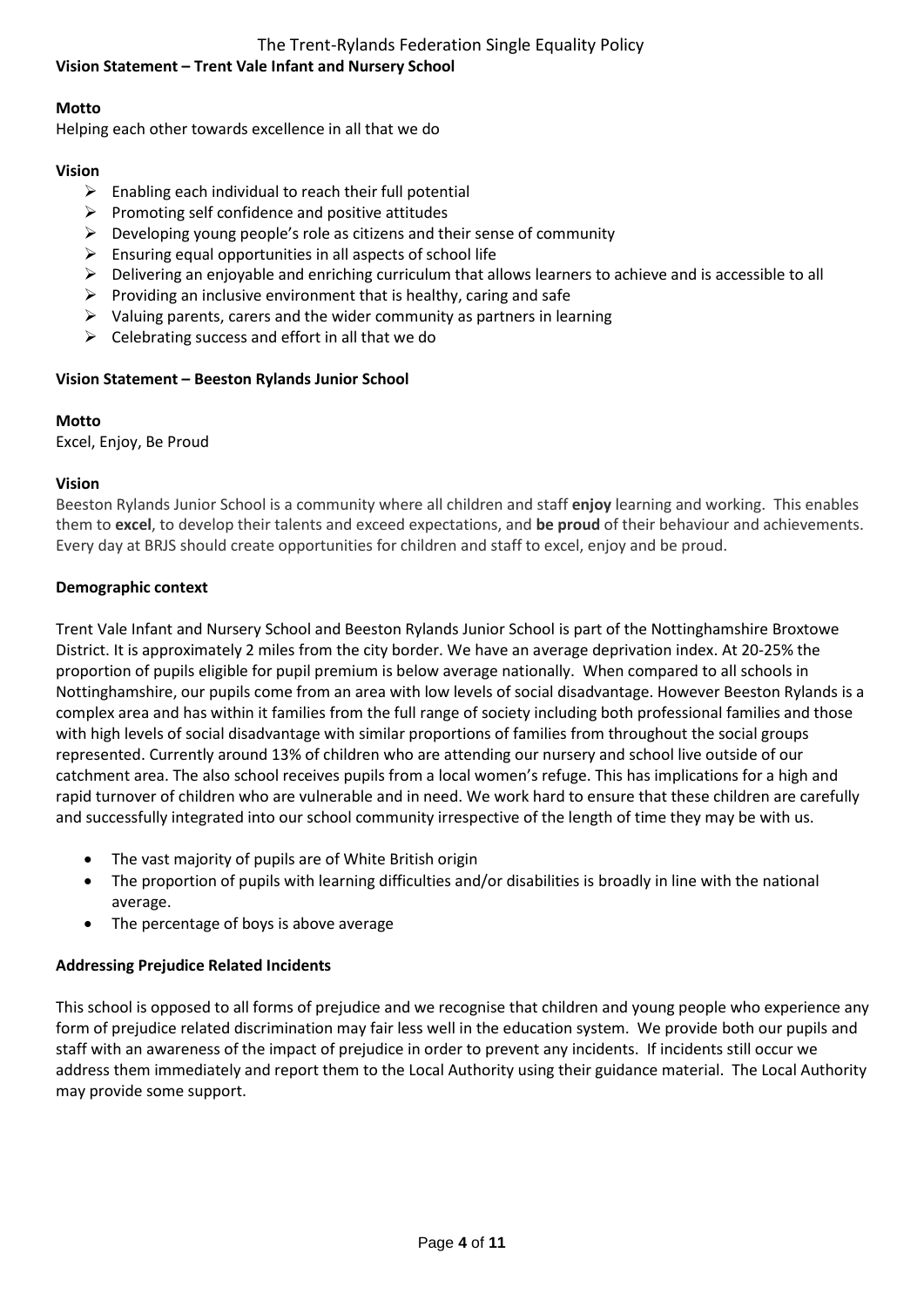# The Trent-Rylands Federation Single Equality Policy

# **Vision Statement – Trent Vale Infant and Nursery School**

# **Motto**

Helping each other towards excellence in all that we do

# **Vision**

- $\triangleright$  Enabling each individual to reach their full potential
- $\triangleright$  Promoting self confidence and positive attitudes
- $\triangleright$  Developing young people's role as citizens and their sense of community
- $\triangleright$  Ensuring equal opportunities in all aspects of school life
- $\triangleright$  Delivering an enjoyable and enriching curriculum that allows learners to achieve and is accessible to all
- $\triangleright$  Providing an inclusive environment that is healthy, caring and safe
- $\triangleright$  Valuing parents, carers and the wider community as partners in learning
- $\triangleright$  Celebrating success and effort in all that we do

# **Vision Statement – Beeston Rylands Junior School**

# **Motto**

Excel, Enjoy, Be Proud

# **Vision**

Beeston Rylands Junior School is a community where all children and staff **enjoy** learning and working. This enables them to **excel**, to develop their talents and exceed expectations, and **be proud** of their behaviour and achievements. Every day at BRJS should create opportunities for children and staff to excel, enjoy and be proud.

# **Demographic context**

Trent Vale Infant and Nursery School and Beeston Rylands Junior School is part of the Nottinghamshire Broxtowe District. It is approximately 2 miles from the city border. We have an average deprivation index. At 20-25% the proportion of pupils eligible for pupil premium is below average nationally. When compared to all schools in Nottinghamshire, our pupils come from an area with low levels of social disadvantage. However Beeston Rylands is a complex area and has within it families from the full range of society including both professional families and those with high levels of social disadvantage with similar proportions of families from throughout the social groups represented. Currently around 13% of children who are attending our nursery and school live outside of our catchment area. The also school receives pupils from a local women's refuge. This has implications for a high and rapid turnover of children who are vulnerable and in need. We work hard to ensure that these children are carefully and successfully integrated into our school community irrespective of the length of time they may be with us.

- The vast majority of pupils are of White British origin
- The proportion of pupils with learning difficulties and/or disabilities is broadly in line with the national average.
- The percentage of boys is above average

# **Addressing Prejudice Related Incidents**

This school is opposed to all forms of prejudice and we recognise that children and young people who experience any form of prejudice related discrimination may fair less well in the education system. We provide both our pupils and staff with an awareness of the impact of prejudice in order to prevent any incidents. If incidents still occur we address them immediately and report them to the Local Authority using their guidance material. The Local Authority may provide some support.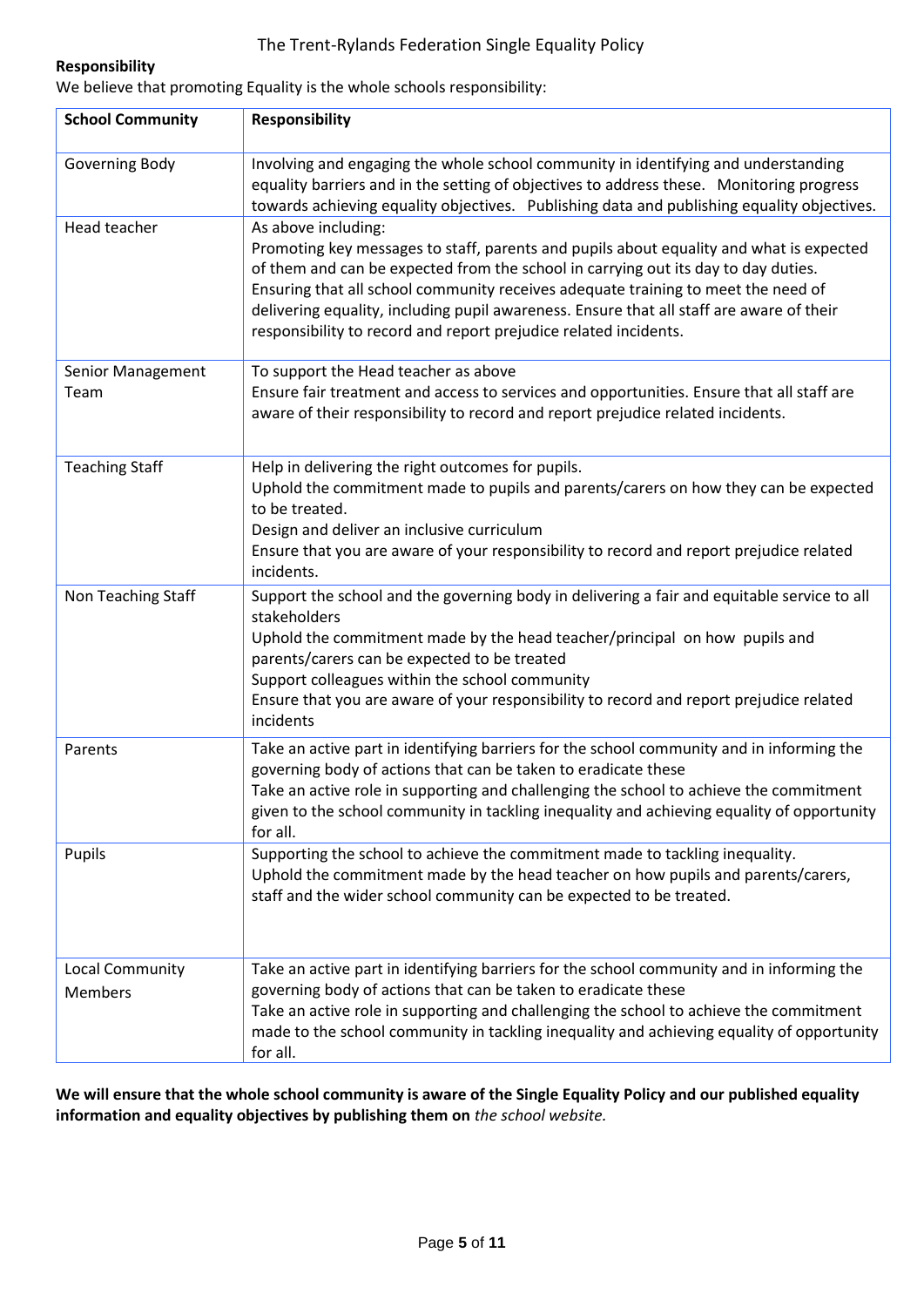# The Trent-Rylands Federation Single Equality Policy

# **Responsibility**

We believe that promoting Equality is the whole schools responsibility:

| <b>School Community</b>           | <b>Responsibility</b>                                                                                                                                                                                                                                                                                                                                                                                                                                     |
|-----------------------------------|-----------------------------------------------------------------------------------------------------------------------------------------------------------------------------------------------------------------------------------------------------------------------------------------------------------------------------------------------------------------------------------------------------------------------------------------------------------|
| Governing Body                    | Involving and engaging the whole school community in identifying and understanding<br>equality barriers and in the setting of objectives to address these. Monitoring progress<br>towards achieving equality objectives. Publishing data and publishing equality objectives.                                                                                                                                                                              |
| Head teacher                      | As above including:<br>Promoting key messages to staff, parents and pupils about equality and what is expected<br>of them and can be expected from the school in carrying out its day to day duties.<br>Ensuring that all school community receives adequate training to meet the need of<br>delivering equality, including pupil awareness. Ensure that all staff are aware of their<br>responsibility to record and report prejudice related incidents. |
| Senior Management<br>Team         | To support the Head teacher as above<br>Ensure fair treatment and access to services and opportunities. Ensure that all staff are<br>aware of their responsibility to record and report prejudice related incidents.                                                                                                                                                                                                                                      |
| <b>Teaching Staff</b>             | Help in delivering the right outcomes for pupils.<br>Uphold the commitment made to pupils and parents/carers on how they can be expected<br>to be treated.<br>Design and deliver an inclusive curriculum<br>Ensure that you are aware of your responsibility to record and report prejudice related<br>incidents.                                                                                                                                         |
| Non Teaching Staff                | Support the school and the governing body in delivering a fair and equitable service to all<br>stakeholders<br>Uphold the commitment made by the head teacher/principal on how pupils and<br>parents/carers can be expected to be treated<br>Support colleagues within the school community<br>Ensure that you are aware of your responsibility to record and report prejudice related<br>incidents                                                       |
| Parents                           | Take an active part in identifying barriers for the school community and in informing the<br>governing body of actions that can be taken to eradicate these<br>Take an active role in supporting and challenging the school to achieve the commitment<br>given to the school community in tackling inequality and achieving equality of opportunity<br>for all.                                                                                           |
| Pupils                            | Supporting the school to achieve the commitment made to tackling inequality.<br>Uphold the commitment made by the head teacher on how pupils and parents/carers,<br>staff and the wider school community can be expected to be treated.                                                                                                                                                                                                                   |
| Local Community<br><b>Members</b> | Take an active part in identifying barriers for the school community and in informing the<br>governing body of actions that can be taken to eradicate these<br>Take an active role in supporting and challenging the school to achieve the commitment<br>made to the school community in tackling inequality and achieving equality of opportunity<br>for all.                                                                                            |

**We will ensure that the whole school community is aware of the Single Equality Policy and our published equality information and equality objectives by publishing them on** *the school website.*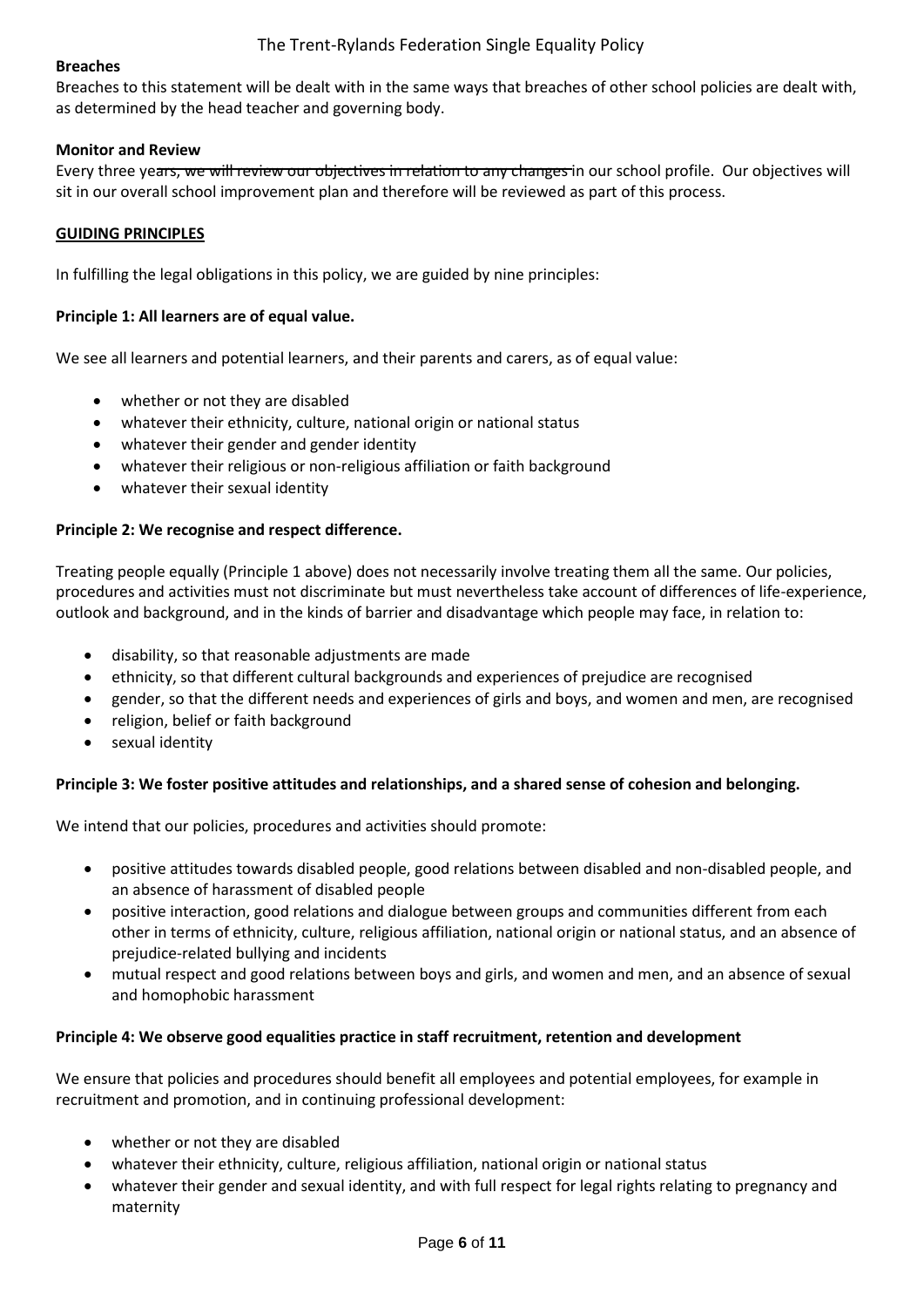## **Breaches**

Breaches to this statement will be dealt with in the same ways that breaches of other school policies are dealt with, as determined by the head teacher and governing body.

### **Monitor and Review**

Every three years, we will review our objectives in relation to any changes in our school profile. Our objectives will sit in our overall school improvement plan and therefore will be reviewed as part of this process.

#### **GUIDING PRINCIPLES**

In fulfilling the legal obligations in this policy, we are guided by nine principles:

#### **Principle 1: All learners are of equal value.**

We see all learners and potential learners, and their parents and carers, as of equal value:

- whether or not they are disabled
- whatever their ethnicity, culture, national origin or national status
- whatever their gender and gender identity
- whatever their religious or non-religious affiliation or faith background
- whatever their sexual identity

#### **Principle 2: We recognise and respect difference.**

Treating people equally (Principle 1 above) does not necessarily involve treating them all the same. Our policies, procedures and activities must not discriminate but must nevertheless take account of differences of life-experience, outlook and background, and in the kinds of barrier and disadvantage which people may face, in relation to:

- disability, so that reasonable adjustments are made
- ethnicity, so that different cultural backgrounds and experiences of prejudice are recognised
- gender, so that the different needs and experiences of girls and boys, and women and men, are recognised
- religion, belief or faith background
- sexual identity

# **Principle 3: We foster positive attitudes and relationships, and a shared sense of cohesion and belonging.**

We intend that our policies, procedures and activities should promote:

- positive attitudes towards disabled people, good relations between disabled and non-disabled people, and an absence of harassment of disabled people
- positive interaction, good relations and dialogue between groups and communities different from each other in terms of ethnicity, culture, religious affiliation, national origin or national status, and an absence of prejudice-related bullying and incidents
- mutual respect and good relations between boys and girls, and women and men, and an absence of sexual and homophobic harassment

#### **Principle 4: We observe good equalities practice in staff recruitment, retention and development**

We ensure that policies and procedures should benefit all employees and potential employees, for example in recruitment and promotion, and in continuing professional development:

- whether or not they are disabled
- whatever their ethnicity, culture, religious affiliation, national origin or national status
- whatever their gender and sexual identity, and with full respect for legal rights relating to pregnancy and maternity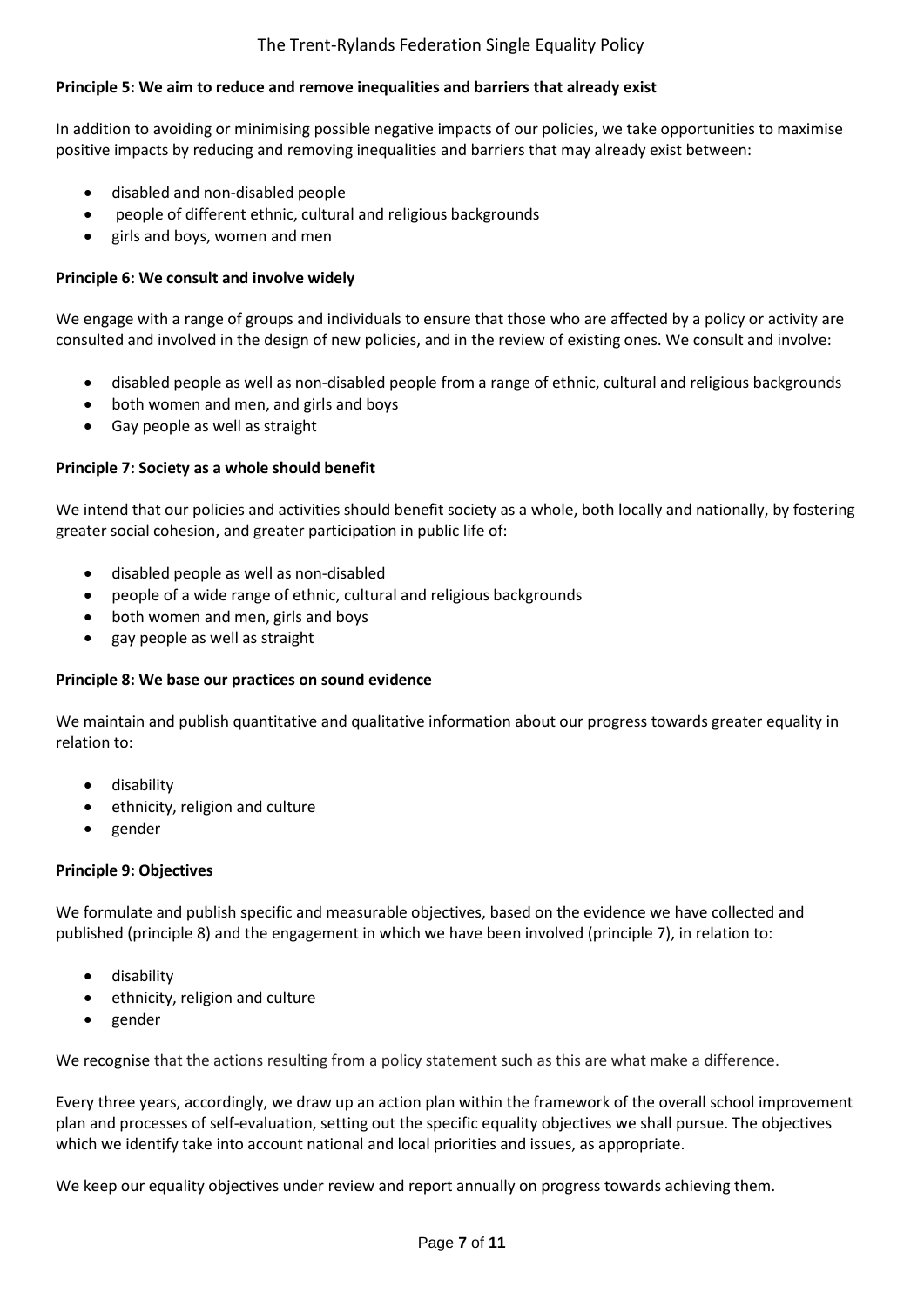# The Trent-Rylands Federation Single Equality Policy

### **Principle 5: We aim to reduce and remove inequalities and barriers that already exist**

In addition to avoiding or minimising possible negative impacts of our policies, we take opportunities to maximise positive impacts by reducing and removing inequalities and barriers that may already exist between:

- disabled and non-disabled people
- people of different ethnic, cultural and religious backgrounds
- girls and boys, women and men

#### **Principle 6: We consult and involve widely**

We engage with a range of groups and individuals to ensure that those who are affected by a policy or activity are consulted and involved in the design of new policies, and in the review of existing ones. We consult and involve:

- disabled people as well as non-disabled people from a range of ethnic, cultural and religious backgrounds
- both women and men, and girls and boys
- Gay people as well as straight

#### **Principle 7: Society as a whole should benefit**

We intend that our policies and activities should benefit society as a whole, both locally and nationally, by fostering greater social cohesion, and greater participation in public life of:

- disabled people as well as non-disabled
- people of a wide range of ethnic, cultural and religious backgrounds
- both women and men, girls and boys
- gay people as well as straight

#### **Principle 8: We base our practices on sound evidence**

We maintain and publish quantitative and qualitative information about our progress towards greater equality in relation to:

- disability
- ethnicity, religion and culture
- gender

#### **Principle 9: Objectives**

We formulate and publish specific and measurable objectives, based on the evidence we have collected and published (principle 8) and the engagement in which we have been involved (principle 7), in relation to:

- disability
- ethnicity, religion and culture
- gender

We recognise that the actions resulting from a policy statement such as this are what make a difference.

Every three years, accordingly, we draw up an action plan within the framework of the overall school improvement plan and processes of self-evaluation, setting out the specific equality objectives we shall pursue. The objectives which we identify take into account national and local priorities and issues, as appropriate.

We keep our equality objectives under review and report annually on progress towards achieving them.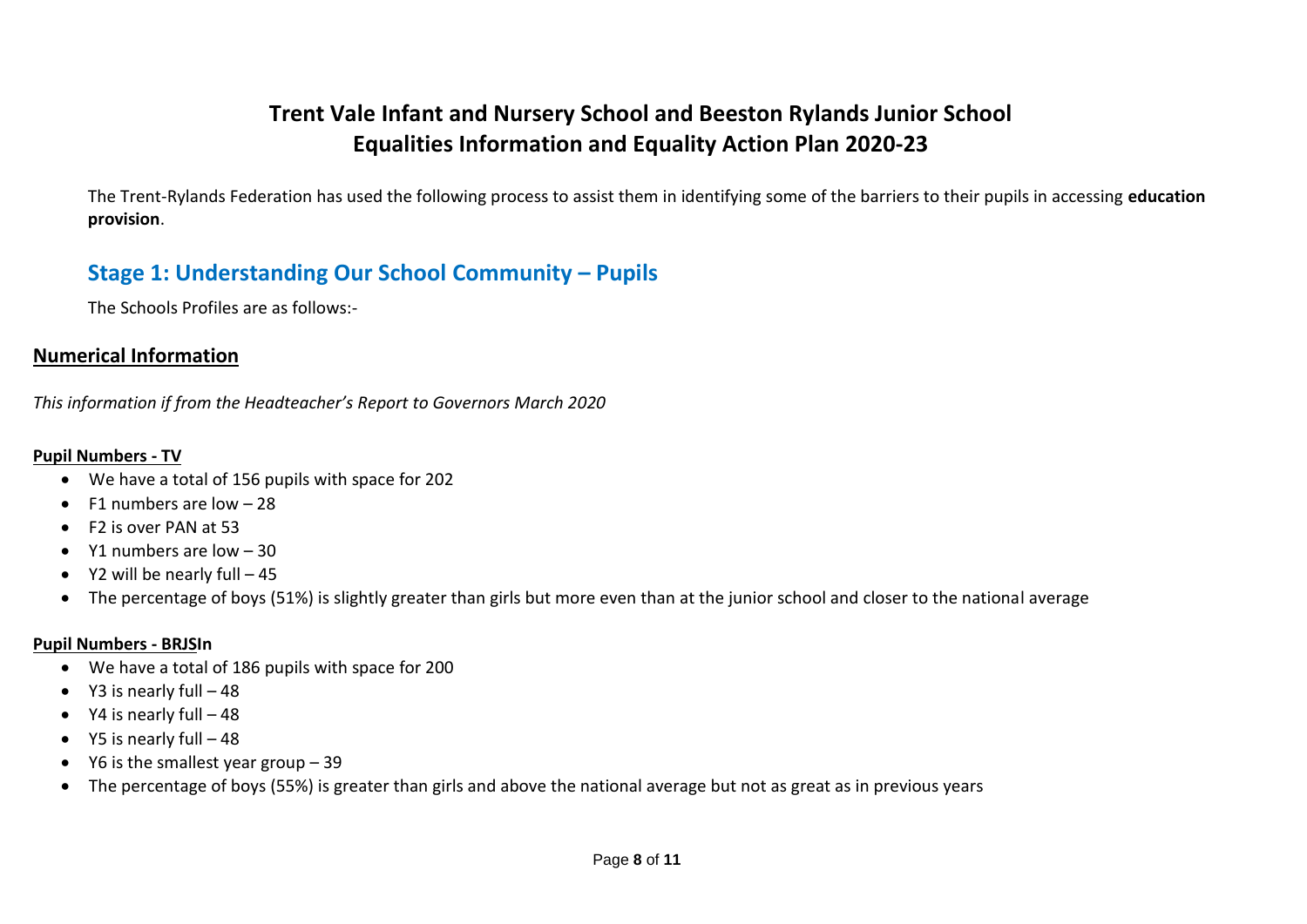# **Trent Vale Infant and Nursery School and Beeston Rylands Junior School Equalities Information and Equality Action Plan 2020-23**

The Trent-Rylands Federation has used the following process to assist them in identifying some of the barriers to their pupils in accessing **education provision**.

# **Stage 1: Understanding Our School Community – Pupils**

The Schools Profiles are as follows:-

# **Numerical Information**

*This information if from the Headteacher's Report to Governors March 2020*

# **Pupil Numbers - TV**

- We have a total of 156 pupils with space for 202
- $\bullet$  F1 numbers are low  $-28$
- F2 is over PAN at 53
- $\bullet$  Y1 numbers are low  $-30$
- $\bullet$  Y2 will be nearly full  $-45$
- The percentage of boys (51%) is slightly greater than girls but more even than at the junior school and closer to the national average

# **Pupil Numbers - BRJSIn**

- We have a total of 186 pupils with space for 200
- $\bullet$  Y3 is nearly full  $-48$
- $\bullet$  Y4 is nearly full  $-48$
- $\bullet$  Y5 is nearly full  $-48$
- $\bullet$  Y6 is the smallest year group 39
- The percentage of boys (55%) is greater than girls and above the national average but not as great as in previous years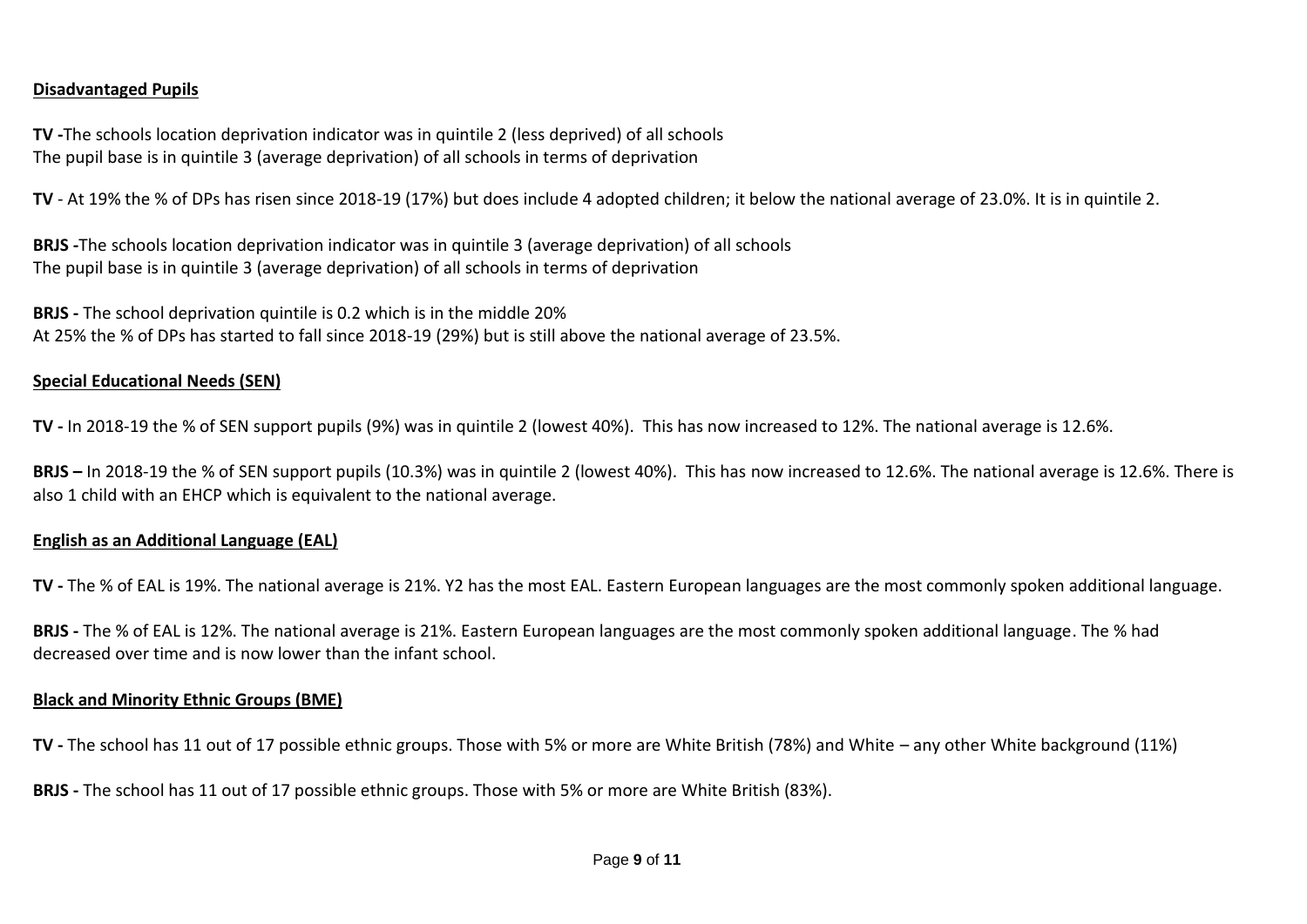# **Disadvantaged Pupils**

**TV -**The schools location deprivation indicator was in quintile 2 (less deprived) of all schools The pupil base is in quintile 3 (average deprivation) of all schools in terms of deprivation

**TV** - At 19% the % of DPs has risen since 2018-19 (17%) but does include 4 adopted children; it below the national average of 23.0%. It is in quintile 2.

**BRJS -**The schools location deprivation indicator was in quintile 3 (average deprivation) of all schools The pupil base is in quintile 3 (average deprivation) of all schools in terms of deprivation

**BRJS -** The school deprivation quintile is 0.2 which is in the middle 20% At 25% the % of DPs has started to fall since 2018-19 (29%) but is still above the national average of 23.5%.

#### **Special Educational Needs (SEN)**

**TV -** In 2018-19 the % of SEN support pupils (9%) was in quintile 2 (lowest 40%). This has now increased to 12%. The national average is 12.6%.

**BRJS –** In 2018-19 the % of SEN support pupils (10.3%) was in quintile 2 (lowest 40%). This has now increased to 12.6%. The national average is 12.6%. There is also 1 child with an EHCP which is equivalent to the national average.

#### **English as an Additional Language (EAL)**

**TV -** The % of EAL is 19%. The national average is 21%. Y2 has the most EAL. Eastern European languages are the most commonly spoken additional language.

**BRJS -** The % of EAL is 12%. The national average is 21%. Eastern European languages are the most commonly spoken additional language. The % had decreased over time and is now lower than the infant school.

#### **Black and Minority Ethnic Groups (BME)**

**TV -** The school has 11 out of 17 possible ethnic groups. Those with 5% or more are White British (78%) and White – any other White background (11%)

**BRJS -** The school has 11 out of 17 possible ethnic groups. Those with 5% or more are White British (83%).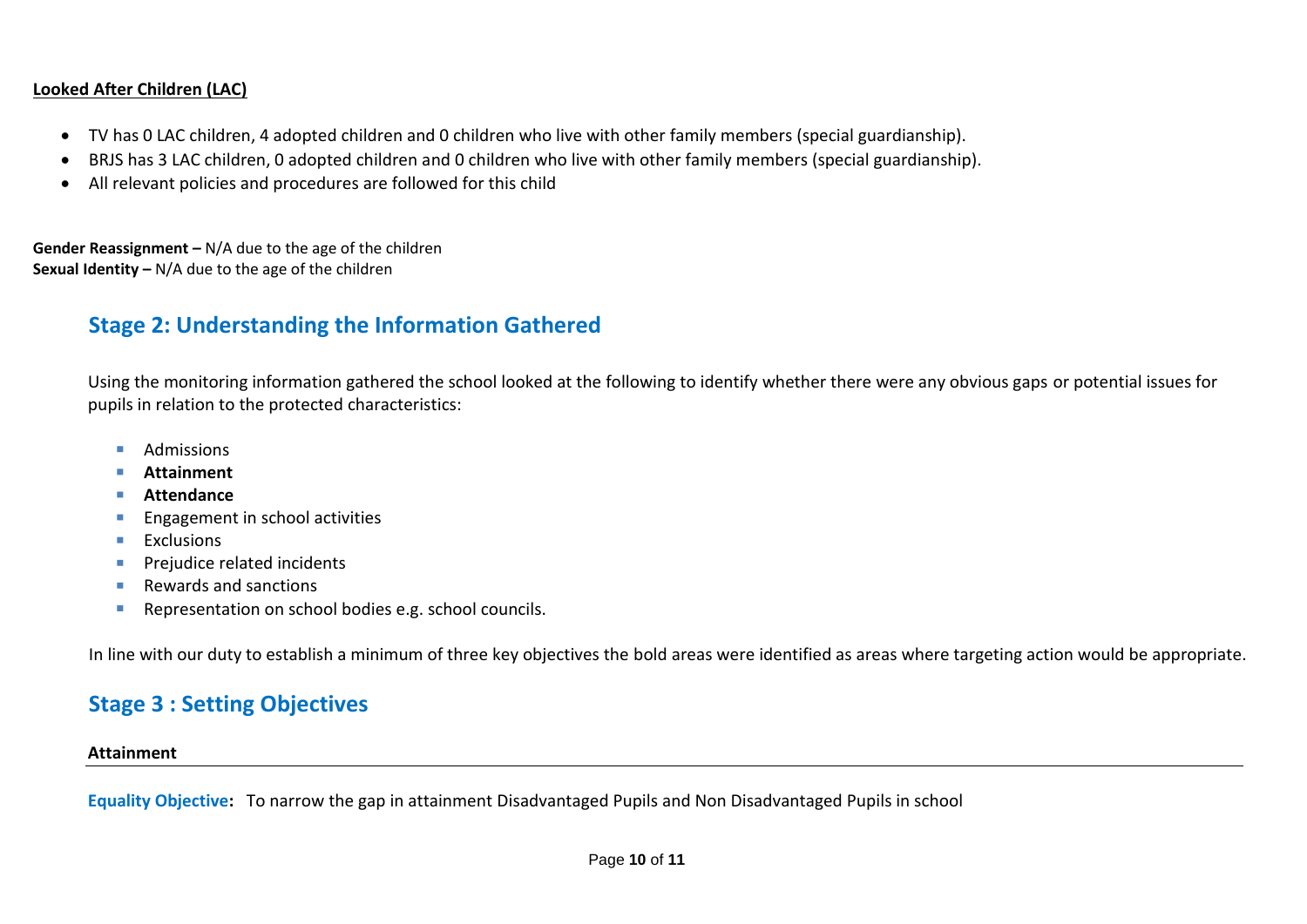# **Looked After Children (LAC)**

- TV has 0 LAC children, 4 adopted children and 0 children who live with other family members (special guardianship).
- BRJS has 3 LAC children, 0 adopted children and 0 children who live with other family members (special guardianship).
- All relevant policies and procedures are followed for this child

**Gender Reassignment –** N/A due to the age of the children **Sexual Identity –** N/A due to the age of the children

# **Stage 2: Understanding the Information Gathered**

Using the monitoring information gathered the school looked at the following to identify whether there were any obvious gaps or potential issues for pupils in relation to the protected characteristics:

- **Admissions**
- **Attainment**
- **Attendance**
- **Engagement in school activities**
- $E$ **Exclusions**
- Prejudice related incidents
- Rewards and sanctions
- **Representation on school bodies e.g. school councils.**

In line with our duty to establish a minimum of three key objectives the bold areas were identified as areas where targeting action would be appropriate.

# **Stage 3 : Setting Objectives**

#### **Attainment**

**Equality Objective:** To narrow the gap in attainment Disadvantaged Pupils and Non Disadvantaged Pupils in school